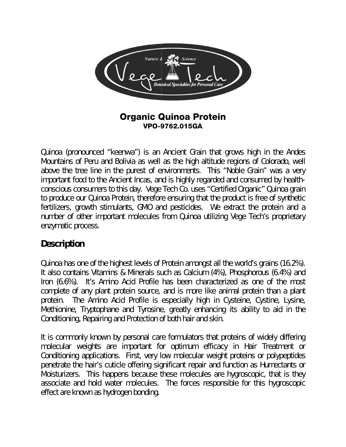

#### **Organic Quinoa Protein** VPO-9762.015GA

Quinoa (pronounced "keenwa") is an Ancient Grain that grows high in the Andes Mountains of Peru and Bolivia as well as the high altitude regions of Colorado, well above the tree line in the purest of environments. This "Noble Grain" was a very important food to the Ancient Incas, and is highly regarded and consumed by healthconscious consumers to this day. Vege Tech Co. uses "Certified Organic" Quinoa grain to produce our Quinoa Protein, therefore ensuring that the product is free of synthetic fertilizers, growth stimulants, GMO and pesticides. We extract the protein and a number of other important molecules from Quinoa utilizing Vege Tech's proprietary enzymatic process.

### **Description**

Quinoa has one of the highest levels of Protein amongst all the world's grains (16.2%). It also contains Vitamins & Minerals such as Calcium (4%), Phosphorous (6.4%) and Iron (6.6%). It's Amino Acid Profile has been characterized as one of the most complete of any plant protein source, and is more like animal protein than a plant The Amino Acid Profile is especially high in Cysteine, Cystine, Lysine, protein. Methionine, Tryptophane and Tyrosine, greatly enhancing its ability to aid in the Conditioning, Repairing and Protection of both hair and skin.

It is commonly known by personal care formulators that proteins of widely differing molecular weights are important for optimum efficacy in Hair Treatment or Conditioning applications. First, very low molecular weight proteins or polypeptides penetrate the hair's cuticle offering significant repair and function as Humectants or Moisturizers. This happens because these molecules are hygroscopic, that is they associate and hold water molecules. The forces responsible for this hygroscopic effect are known as hydrogen bonding.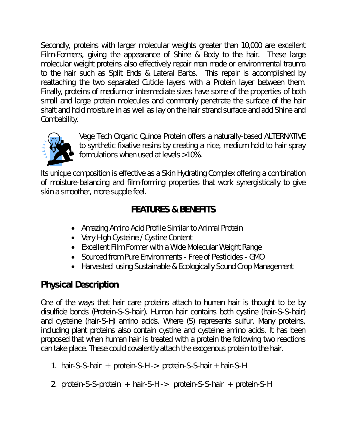Secondly, proteins with larger molecular weights greater than 10,000 are excellent Film-Formers, giving the appearance of Shine & Body to the hair. These large molecular weight proteins also effectively repair man made or environmental trauma to the hair such as Split Ends & Lateral Barbs. This repair is accomplished by reattaching the two separated Cuticle layers with a Protein layer between them. Finally, proteins of medium or intermediate sizes have some of the properties of both small and large protein molecules and commonly penetrate the surface of the hair shaft and hold moisture in as well as lay on the hair strand surface and add Shine and Combability.



Vege Tech Organic Quinoa Protein offers a naturally-based ALTERNATIVE to synthetic fixative resins by creating a nice, medium hold to hair spray formulations when used at levels >10%.

Its unique composition is effective as a Skin Hydrating Complex offering a combination of moisture-balancing and film-forming properties that work synergistically to give skin a smoother, more supple feel.

## **FEATURES & BENEFITS**

- Amazing Amino Acid Profile Similar to Animal Protein
- Very High Cysteine / Cystine Content
- Excellent Film Former with a Wide Molecular Weight Range
- Sourced from Pure Environments Free of Pesticides GMO
- Harvested using Sustainable & Ecologically Sound Crop Management

# **Physical Description**

One of the ways that hair care proteins attach to human hair is thought to be by disulfide bonds (Protein-S-S-hair). Human hair contains both cystine (hair-S-S-hair) and cysteine (hair-S-H) amino acids. Where (S) represents sulfur. Many proteins, including plant proteins also contain cystine and cysteine amino acids. It has been proposed that when human hair is treated with a protein the following two reactions can take place. These could covalently attach the exogenous protein to the hair.

- 1. hair-S-S-hair + protein-S-H -> protein-S-S-hair + hair-S-H
- 2. protein-S-S-protein + hair-S-H -> protein-S-S-hair + protein-S-H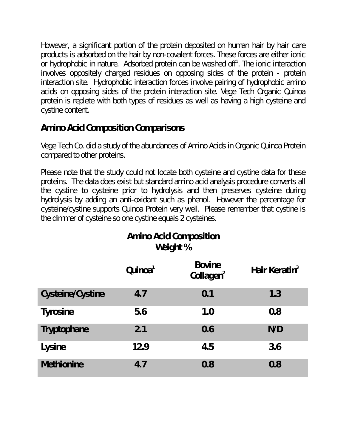However, a significant portion of the protein deposited on human hair by hair care products is adsorbed on the hair by non-covalent forces. These forces are either ionic or hydrophobic in nature. Adsorbed protein can be washed off<sup>1</sup>. The ionic interaction involves oppositely charged residues on opposing sides of the protein - protein interaction site. Hydrophobic interaction forces involve pairing of hydrophobic amino acids on opposing sides of the protein interaction site. Vege Tech Organic Quinoa protein is replete with both types of residues as well as having a high cysteine and cystine content.

## **Amino Acid Composition Comparisons**

Vege Tech Co. did a study of the abundances of Amino Acids in Organic Quinoa Protein compared to other proteins.

Please note that the study could not locate both cysteine and cystine data for these proteins. The data does exist but standard amino acid analysis procedure converts all the cystine to cysteine prior to hydrolysis and then preserves cysteine during hydrolysis by adding an anti-oxidant such as phenol. However the percentage for cysteine/cystine supports Quinoa Protein very well. Please remember that cystine is the dimmer of cysteine so one cystine equals 2 cysteines.

|                         | Quinoa <sup>1</sup> | <b>Bovine</b><br>Collagen <sup>2</sup> | Hair Keratin $3$ |
|-------------------------|---------------------|----------------------------------------|------------------|
| <b>Cysteine/Cystine</b> | 4.7                 | 0.1                                    | 1.3              |
| <b>Tyrosine</b>         | 5.6                 | 1.0                                    | 0.8              |
| <b>Tryptophane</b>      | 2.1                 | 0.6                                    | N/D              |
| Lysine                  | 12.9                | 4.5                                    | 3.6              |
| <b>Methionine</b>       | 4.7                 | 0.8                                    | 0.8              |

# **Amino Acid Composition Weight %**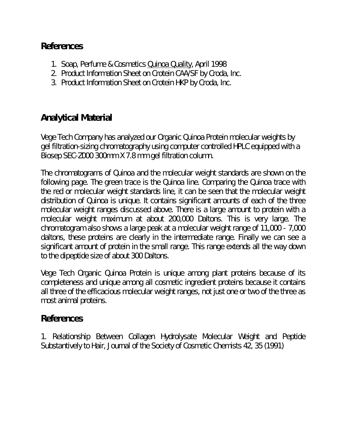### **References**

- 1. Soap, Perfume & Cosmetics Quinoa Quality, April 1998
- 2. Product Information Sheet on Crotein CAA/SF by Croda, Inc.
- 3. Product Information Sheet on Crotein HKP by Croda, Inc.

## **Analytical Material**

Vege Tech Company has analyzed our Organic Quinoa Protein molecular weights by gel filtration-sizing chromatography using computer controlled HPLC equipped with a Biosep SEC-Z000 300mm X 7.8 mm gel filtration column.

The chromatograms of Quinoa and the molecular weight standards are shown on the following page. The green trace is the Quinoa line. Comparing the Quinoa trace with the red or molecular weight standards line, it can be seen that the molecular weight distribution of Quinoa is unique. It contains significant amounts of each of the three molecular weight ranges discussed above. There is a large amount to protein with a molecular weight maximum at about 200,000 Daltons. This is very large. The chromatogram also shows a large peak at a molecular weight range of 11,000 - 7,000 daltons, these proteins are clearly in the intermediate range. Finally we can see a significant amount of protein in the small range. This range extends all the way down to the dipeptide size of about 300 Daltons.

Vege Tech Organic Quinoa Protein is unique among plant proteins because of its completeness and unique among all cosmetic ingredient proteins because it contains all three of the efficacious molecular weight ranges, not just one or two of the three as most animal proteins.

#### **References**

1. Relationship Between Collagen Hydrolysate Molecular Weight and Peptide Substantively to Hair, Journal of the Society of Cosmetic Chemists 42, 35 (1991)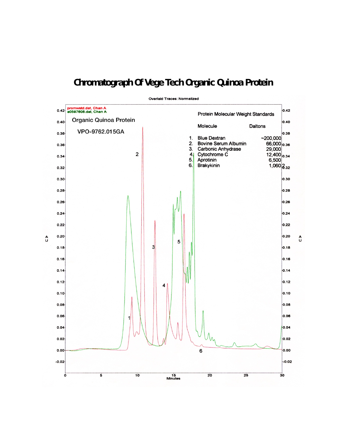# **Chromatograph Of Vege Tech Organic Quinoa Protein**



 $\alpha$ 

**Overlaid Traces: Normalized**